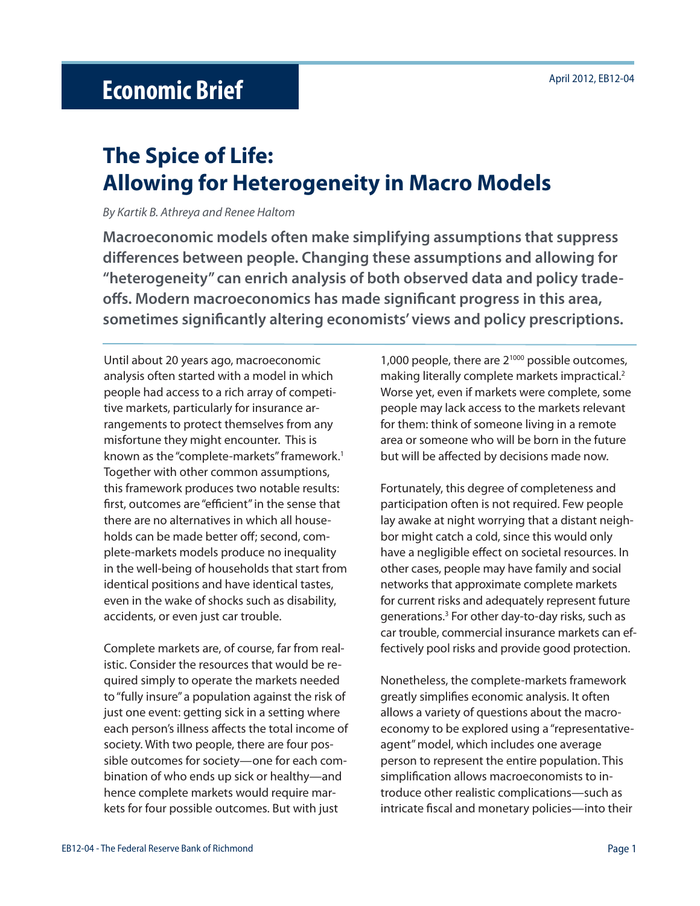# **The Spice of Life: Allowing for Heterogeneity in Macro Models**

By Kartik B. Athreya and Renee Haltom

**Macroeconomic models often make simplifying assumptions that suppress diff erences between people. Changing these assumptions and allowing for "heterogeneity" can enrich analysis of both observed data and policy trade**offs. Modern macroeconomics has made significant progress in this area, sometimes significantly altering economists' views and policy prescriptions.

Until about 20 years ago, macroeconomic analysis often started with a model in which people had access to a rich array of competitive markets, particularly for insurance arrangements to protect themselves from any misfortune they might encounter. This is known as the "complete-markets" framework.<sup>1</sup> Together with other common assumptions, this framework produces two notable results: first, outcomes are "efficient" in the sense that there are no alternatives in which all households can be made better off; second, complete-markets models produce no inequality in the well-being of households that start from identical positions and have identical tastes, even in the wake of shocks such as disability, accidents, or even just car trouble.

Complete markets are, of course, far from realistic. Consider the resources that would be required simply to operate the markets needed to "fully insure" a population against the risk of just one event: getting sick in a setting where each person's illness affects the total income of society. With two people, there are four possible outcomes for society—one for each combination of who ends up sick or healthy—and hence complete markets would require markets for four possible outcomes. But with just

1,000 people, there are  $2^{1000}$  possible outcomes, making literally complete markets impractical.<sup>2</sup> Worse yet, even if markets were complete, some people may lack access to the markets relevant for them: think of someone living in a remote area or someone who will be born in the future but will be affected by decisions made now.

Fortunately, this degree of completeness and participation often is not required. Few people lay awake at night worrying that a distant neighbor might catch a cold, since this would only have a negligible effect on societal resources. In other cases, people may have family and social networks that approximate complete markets for current risks and adequately represent future generations.3 For other day-to-day risks, such as car trouble, commercial insurance markets can effectively pool risks and provide good protection.

Nonetheless, the complete-markets framework greatly simplifies economic analysis. It often allows a variety of questions about the macroeconomy to be explored using a "representativeagent" model, which includes one average person to represent the entire population. This simplification allows macroeconomists to introduce other realistic complications—such as intricate fiscal and monetary policies—into their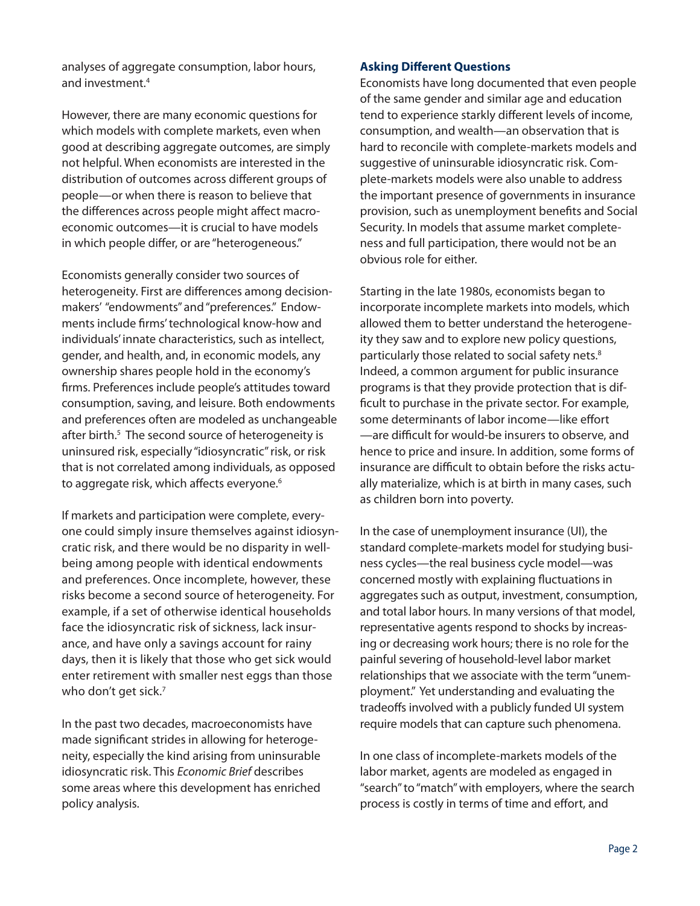analyses of aggregate consumption, labor hours, and investment.4

However, there are many economic questions for which models with complete markets, even when good at describing aggregate outcomes, are simply not helpful. When economists are interested in the distribution of outcomes across different groups of people—or when there is reason to believe that the differences across people might affect macroeconomic outcomes—it is crucial to have models in which people differ, or are "heterogeneous."

Economists generally consider two sources of heterogeneity. First are differences among decisionmakers' "endowments" and "preferences." Endowments include firms' technological know-how and individuals' innate characteristics, such as intellect, gender, and health, and, in economic models, any ownership shares people hold in the economy's firms. Preferences include people's attitudes toward consumption, saving, and leisure. Both endowments and preferences often are modeled as unchangeable after birth.<sup>5</sup> The second source of heterogeneity is uninsured risk, especially "idiosyncratic" risk, or risk that is not correlated among individuals, as opposed to aggregate risk, which affects everyone.<sup>6</sup>

If markets and participation were complete, everyone could simply insure themselves against idiosyncratic risk, and there would be no disparity in wellbeing among people with identical endowments and preferences. Once incomplete, however, these risks become a second source of heterogeneity. For example, if a set of otherwise identical households face the idiosyncratic risk of sickness, lack insurance, and have only a savings account for rainy days, then it is likely that those who get sick would enter retirement with smaller nest eggs than those who don't get sick.<sup>7</sup>

In the past two decades, macroeconomists have made significant strides in allowing for heterogeneity, especially the kind arising from uninsurable idiosyncratic risk. This Economic Brief describes some areas where this development has enriched policy analysis.

### **Asking Different Questions**

Economists have long documented that even people of the same gender and similar age and education tend to experience starkly different levels of income, consumption, and wealth—an observation that is hard to reconcile with complete-markets models and suggestive of uninsurable idiosyncratic risk. Complete-markets models were also unable to address the important presence of governments in insurance provision, such as unemployment benefits and Social Security. In models that assume market completeness and full participation, there would not be an obvious role for either.

Starting in the late 1980s, economists began to incorporate incomplete markets into models, which allowed them to better understand the heterogeneity they saw and to explore new policy questions, particularly those related to social safety nets.<sup>8</sup> Indeed, a common argument for public insurance programs is that they provide protection that is difficult to purchase in the private sector. For example, some determinants of labor income—like effort -are difficult for would-be insurers to observe, and hence to price and insure. In addition, some forms of insurance are difficult to obtain before the risks actually materialize, which is at birth in many cases, such as children born into poverty.

In the case of unemployment insurance (UI), the standard complete-markets model for studying business cycles—the real business cycle model—was concerned mostly with explaining fluctuations in aggregates such as output, investment, consumption, and total labor hours. In many versions of that model, representative agents respond to shocks by increasing or decreasing work hours; there is no role for the painful severing of household-level labor market relationships that we associate with the term "unemployment." Yet understanding and evaluating the tradeoffs involved with a publicly funded UI system require models that can capture such phenomena.

In one class of incomplete-markets models of the labor market, agents are modeled as engaged in "search" to "match" with employers, where the search process is costly in terms of time and effort, and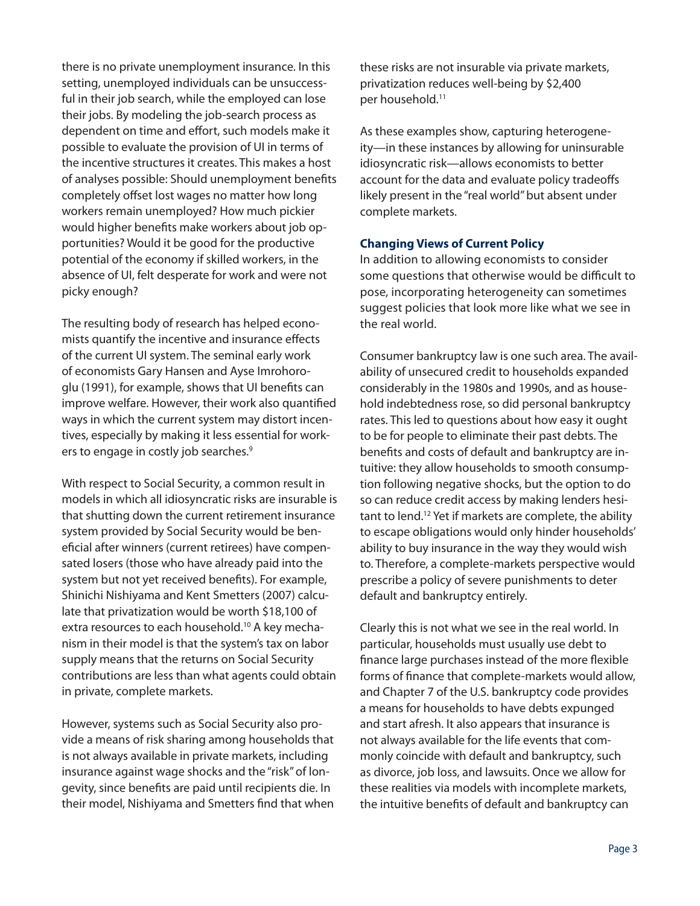there is no private unemployment insurance. In this setting, unemployed individuals can be unsuccessful in their job search, while the employed can lose their jobs. By modeling the job-search process as dependent on time and effort, such models make it possible to evaluate the provision of UI in terms of the incentive structures it creates. This makes a host of analyses possible: Should unemployment benefits completely offset lost wages no matter how long workers remain unemployed? How much pickier would higher benefits make workers about job opportunities? Would it be good for the productive potential of the economy if skilled workers, in the absence of UI, felt desperate for work and were not picky enough?

The resulting body of research has helped economists quantify the incentive and insurance effects of the current UI system. The seminal early work of economists Gary Hansen and Ayse Imrohoroglu (1991), for example, shows that UI benefits can improve welfare. However, their work also quantified ways in which the current system may distort incentives, especially by making it less essential for workers to engage in costly job searches.<sup>9</sup>

With respect to Social Security, a common result in models in which all idiosyncratic risks are insurable is that shutting down the current retirement insurance system provided by Social Security would be beneficial after winners (current retirees) have compensated losers (those who have already paid into the system but not yet received benefits). For example, Shinichi Nishiyama and Kent Smetters (2007) calculate that privatization would be worth \$18,100 of extra resources to each household.<sup>10</sup> A key mechanism in their model is that the system's tax on labor supply means that the returns on Social Security contributions are less than what agents could obtain in private, complete markets.

However, systems such as Social Security also provide a means of risk sharing among households that is not always available in private markets, including insurance against wage shocks and the "risk" of longevity, since benefits are paid until recipients die. In their model, Nishiyama and Smetters find that when these risks are not insurable via private markets, privatization reduces well-being by \$2,400 per household.<sup>11</sup>

As these examples show, capturing heterogeneity—in these instances by allowing for uninsurable idiosyncratic risk—allows economists to better account for the data and evaluate policy tradeoffs likely present in the "real world" but absent under complete markets.

# **Changing Views of Current Policy**

In addition to allowing economists to consider some questions that otherwise would be difficult to pose, incorporating heterogeneity can sometimes suggest policies that look more like what we see in the real world.

Consumer bankruptcy law is one such area. The availability of unsecured credit to households expanded considerably in the 1980s and 1990s, and as household indebtedness rose, so did personal bankruptcy rates. This led to questions about how easy it ought to be for people to eliminate their past debts. The benefits and costs of default and bankruptcy are intuitive: they allow households to smooth consumption following negative shocks, but the option to do so can reduce credit access by making lenders hesitant to lend.<sup>12</sup> Yet if markets are complete, the ability to escape obligations would only hinder households' ability to buy insurance in the way they would wish to. Therefore, a complete-markets perspective would prescribe a policy of severe punishments to deter default and bankruptcy entirely.

Clearly this is not what we see in the real world. In particular, households must usually use debt to finance large purchases instead of the more flexible forms of finance that complete-markets would allow, and Chapter 7 of the U.S. bankruptcy code provides a means for households to have debts expunged and start afresh. It also appears that insurance is not always available for the life events that commonly coincide with default and bankruptcy, such as divorce, job loss, and lawsuits. Once we allow for these realities via models with incomplete markets, the intuitive benefits of default and bankruptcy can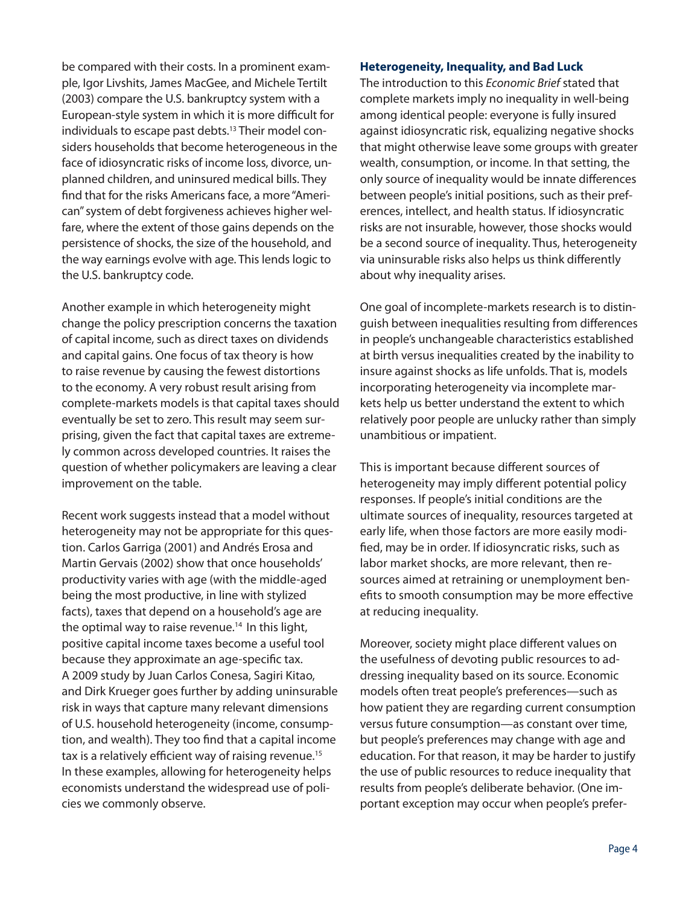be compared with their costs. In a prominent example, Igor Livshits, James MacGee, and Michele Tertilt (2003) compare the U.S. bankruptcy system with a European-style system in which it is more difficult for individuals to escape past debts.<sup>13</sup> Their model considers households that become heterogeneous in the face of idiosyncratic risks of income loss, divorce, unplanned children, and uninsured medical bills. They find that for the risks Americans face, a more "American" system of debt forgiveness achieves higher welfare, where the extent of those gains depends on the persistence of shocks, the size of the household, and the way earnings evolve with age. This lends logic to the U.S. bankruptcy code.

Another example in which heterogeneity might change the policy prescription concerns the taxation of capital income, such as direct taxes on dividends and capital gains. One focus of tax theory is how to raise revenue by causing the fewest distortions to the economy. A very robust result arising from complete-markets models is that capital taxes should eventually be set to zero. This result may seem surprising, given the fact that capital taxes are extremely common across developed countries. It raises the question of whether policymakers are leaving a clear improvement on the table.

Recent work suggests instead that a model without heterogeneity may not be appropriate for this question. Carlos Garriga (2001) and Andrés Erosa and Martin Gervais (2002) show that once households' productivity varies with age (with the middle-aged being the most productive, in line with stylized facts), taxes that depend on a household's age are the optimal way to raise revenue.<sup>14</sup> In this light, positive capital income taxes become a useful tool because they approximate an age-specific tax. A 2009 study by Juan Carlos Conesa, Sagiri Kitao, and Dirk Krueger goes further by adding uninsurable risk in ways that capture many relevant dimensions of U.S. household heterogeneity (income, consumption, and wealth). They too find that a capital income tax is a relatively efficient way of raising revenue.<sup>15</sup> In these examples, allowing for heterogeneity helps economists understand the widespread use of policies we commonly observe.

#### **Heterogeneity, Inequality, and Bad Luck**

The introduction to this Economic Brief stated that complete markets imply no inequality in well-being among identical people: everyone is fully insured against idiosyncratic risk, equalizing negative shocks that might otherwise leave some groups with greater wealth, consumption, or income. In that setting, the only source of inequality would be innate differences between people's initial positions, such as their preferences, intellect, and health status. If idiosyncratic risks are not insurable, however, those shocks would be a second source of inequality. Thus, heterogeneity via uninsurable risks also helps us think differently about why inequality arises.

One goal of incomplete-markets research is to distinguish between inequalities resulting from differences in people's unchangeable characteristics established at birth versus inequalities created by the inability to insure against shocks as life unfolds. That is, models incorporating heterogeneity via incomplete markets help us better understand the extent to which relatively poor people are unlucky rather than simply unambitious or impatient.

This is important because different sources of heterogeneity may imply different potential policy responses. If people's initial conditions are the ultimate sources of inequality, resources targeted at early life, when those factors are more easily modified, may be in order. If idiosyncratic risks, such as labor market shocks, are more relevant, then resources aimed at retraining or unemployment benefits to smooth consumption may be more effective at reducing inequality.

Moreover, society might place different values on the usefulness of devoting public resources to addressing inequality based on its source. Economic models often treat people's preferences—such as how patient they are regarding current consumption versus future consumption—as constant over time, but people's preferences may change with age and education. For that reason, it may be harder to justify the use of public resources to reduce inequality that results from people's deliberate behavior. (One important exception may occur when people's prefer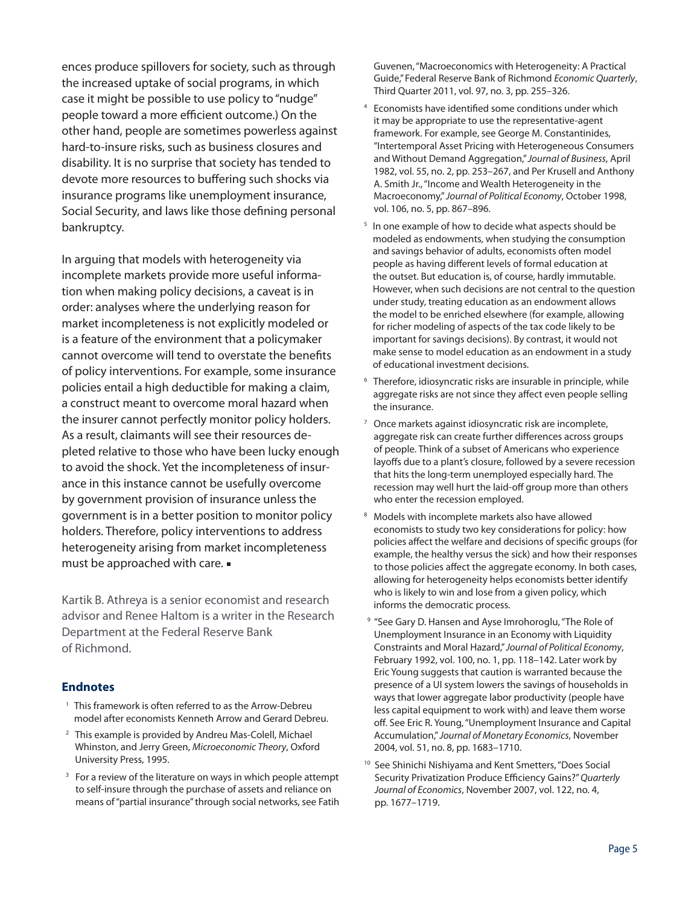ences produce spillovers for society, such as through the increased uptake of social programs, in which case it might be possible to use policy to "nudge" people toward a more efficient outcome.) On the other hand, people are sometimes powerless against hard-to-insure risks, such as business closures and disability. It is no surprise that society has tended to devote more resources to buffering such shocks via insurance programs like unemployment insurance, Social Security, and laws like those defining personal bankruptcy.

In arguing that models with heterogeneity via incomplete markets provide more useful information when making policy decisions, a caveat is in order: analyses where the underlying reason for market incompleteness is not explicitly modeled or is a feature of the environment that a policymaker cannot overcome will tend to overstate the benefits of policy interventions. For example, some insurance policies entail a high deductible for making a claim, a construct meant to overcome moral hazard when the insurer cannot perfectly monitor policy holders. As a result, claimants will see their resources depleted relative to those who have been lucky enough to avoid the shock. Yet the incompleteness of insurance in this instance cannot be usefully overcome by government provision of insurance unless the government is in a better position to monitor policy holders. Therefore, policy interventions to address heterogeneity arising from market incompleteness must be approached with care.

Kartik B. Athreya is a senior economist and research advisor and Renee Haltom is a writer in the Research Department at the Federal Reserve Bank of Richmond.

## **Endnotes**

- <sup>1</sup> This framework is often referred to as the Arrow-Debreu model after economists Kenneth Arrow and Gerard Debreu.
- 2 This example is provided by Andreu Mas-Colell, Michael Whinston, and Jerry Green, Microeconomic Theory, Oxford University Press, 1995.
- <sup>3</sup> For a review of the literature on ways in which people attempt to self-insure through the purchase of assets and reliance on means of "partial insurance" through social networks, see Fatih

Guvenen, "Macroeconomics with Heterogeneity: A Practical Guide," Federal Reserve Bank of Richmond Economic Quarterly, Third Quarter 2011, vol. 97, no. 3, pp. 255–326.

- 4 Economists have identified some conditions under which it may be appropriate to use the representative-agent framework. For example, see George M. Constantinides, "Intertemporal Asset Pricing with Heterogeneous Consumers and Without Demand Aggregation," Journal of Business, April 1982, vol. 55, no. 2, pp. 253–267, and Per Krusell and Anthony A. Smith Jr., "Income and Wealth Heterogeneity in the Macroeconomy," Journal of Political Economy, October 1998, vol. 106, no. 5, pp. 867–896.
- <sup>5</sup> In one example of how to decide what aspects should be modeled as endowments, when studying the consumption and savings behavior of adults, economists often model people as having different levels of formal education at the outset. But education is, of course, hardly immutable. However, when such decisions are not central to the question under study, treating education as an endowment allows the model to be enriched elsewhere (for example, allowing for richer modeling of aspects of the tax code likely to be important for savings decisions). By contrast, it would not make sense to model education as an endowment in a study of educational investment decisions.
- <sup>6</sup> Therefore, idiosyncratic risks are insurable in principle, while aggregate risks are not since they affect even people selling the insurance.
- 7 Once markets against idiosyncratic risk are incomplete, aggregate risk can create further differences across groups of people. Think of a subset of Americans who experience layoffs due to a plant's closure, followed by a severe recession that hits the long-term unemployed especially hard. The recession may well hurt the laid-off group more than others who enter the recession employed.
- 8 Models with incomplete markets also have allowed economists to study two key considerations for policy: how policies affect the welfare and decisions of specific groups (for example, the healthy versus the sick) and how their responses to those policies affect the aggregate economy. In both cases, allowing for heterogeneity helps economists better identify who is likely to win and lose from a given policy, which informs the democratic process.
- <sup>9</sup> "See Gary D. Hansen and Ayse Imrohoroglu, "The Role of Unemployment Insurance in an Economy with Liquidity Constraints and Moral Hazard," Journal of Political Economy, February 1992, vol. 100, no. 1, pp. 118–142. Later work by Eric Young suggests that caution is warranted because the presence of a UI system lowers the savings of households in ways that lower aggregate labor productivity (people have less capital equipment to work with) and leave them worse off. See Eric R. Young, "Unemployment Insurance and Capital Accumulation," Journal of Monetary Economics, November 2004, vol. 51, no. 8, pp. 1683–1710.
- <sup>10</sup> See Shinichi Nishiyama and Kent Smetters, "Does Social Security Privatization Produce Efficiency Gains?" Quarterly Journal of Economics, November 2007, vol. 122, no. 4, pp. 1677–1719.